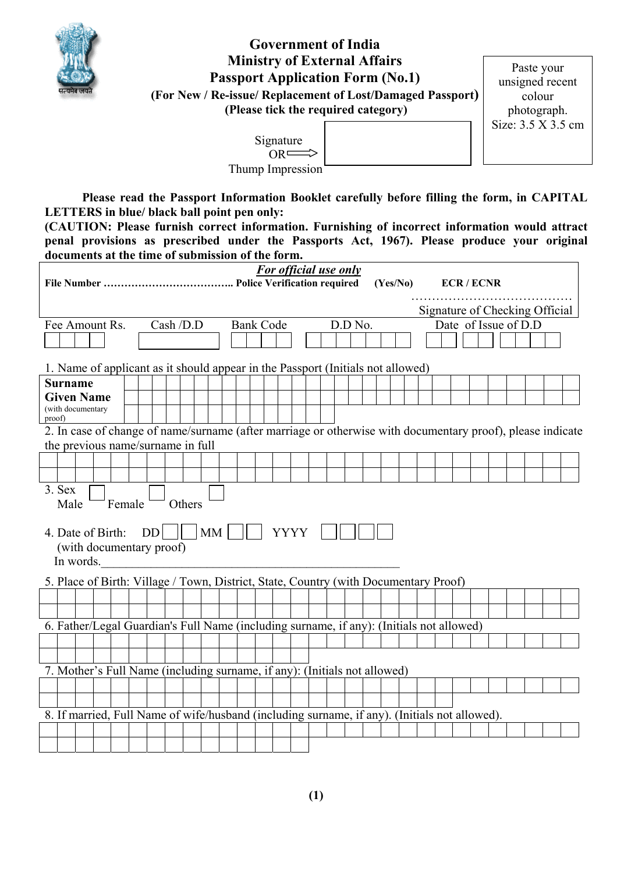

# **Government of India Ministry of External Affairs Passport Application Form (No.1) (For New / Re-issue/ Replacement of Lost/Damaged Passport) (Please tick the required category)**

Paste your unsigned recent colour photograph. Size: 3.5 X 3.5 cm

 Signature  $OR \longrightarrow$ Thump Impression

**Please read the Passport Information Booklet carefully before filling the form, in CAPITAL LETTERS in blue/ black ball point pen only:** 

**(CAUTION: Please furnish correct information. Furnishing of incorrect information would attract penal provisions as prescribed under the Passports Act, 1967). Please produce your original documents at the time of submission of the form.**

|                                                                                                            |  |        |    |            |        |    |  |                  |             | <b>For official use only</b> |         | (Yes/No) |  |  | <b>ECR/ECNR</b>                |  |  |  |
|------------------------------------------------------------------------------------------------------------|--|--------|----|------------|--------|----|--|------------------|-------------|------------------------------|---------|----------|--|--|--------------------------------|--|--|--|
|                                                                                                            |  |        |    |            |        |    |  |                  |             |                              |         |          |  |  |                                |  |  |  |
|                                                                                                            |  |        |    |            |        |    |  |                  |             |                              |         |          |  |  | Signature of Checking Official |  |  |  |
| Fee Amount Rs.                                                                                             |  |        |    | Cash / D.D |        |    |  | <b>Bank Code</b> |             |                              | D.D No. |          |  |  | Date of Issue of D.D           |  |  |  |
|                                                                                                            |  |        |    |            |        |    |  |                  |             |                              |         |          |  |  |                                |  |  |  |
|                                                                                                            |  |        |    |            |        |    |  |                  |             |                              |         |          |  |  |                                |  |  |  |
| 1. Name of applicant as it should appear in the Passport (Initials not allowed)                            |  |        |    |            |        |    |  |                  |             |                              |         |          |  |  |                                |  |  |  |
| Surname                                                                                                    |  |        |    |            |        |    |  |                  |             |                              |         |          |  |  |                                |  |  |  |
| <b>Given Name</b>                                                                                          |  |        |    |            |        |    |  |                  |             |                              |         |          |  |  |                                |  |  |  |
| (with documentary<br>proof)                                                                                |  |        |    |            |        |    |  |                  |             |                              |         |          |  |  |                                |  |  |  |
| 2. In case of change of name/surname (after marriage or otherwise with documentary proof), please indicate |  |        |    |            |        |    |  |                  |             |                              |         |          |  |  |                                |  |  |  |
| the previous name/surname in full                                                                          |  |        |    |            |        |    |  |                  |             |                              |         |          |  |  |                                |  |  |  |
|                                                                                                            |  |        |    |            |        |    |  |                  |             |                              |         |          |  |  |                                |  |  |  |
|                                                                                                            |  |        |    |            |        |    |  |                  |             |                              |         |          |  |  |                                |  |  |  |
| 3. Sex                                                                                                     |  |        |    |            |        |    |  |                  |             |                              |         |          |  |  |                                |  |  |  |
| Male                                                                                                       |  | Female |    |            | Others |    |  |                  |             |                              |         |          |  |  |                                |  |  |  |
|                                                                                                            |  |        |    |            |        |    |  |                  |             |                              |         |          |  |  |                                |  |  |  |
| 4. Date of Birth:                                                                                          |  |        | DD |            |        | MM |  |                  | <b>YYYY</b> |                              |         |          |  |  |                                |  |  |  |
| (with documentary proof)                                                                                   |  |        |    |            |        |    |  |                  |             |                              |         |          |  |  |                                |  |  |  |
| In words.                                                                                                  |  |        |    |            |        |    |  |                  |             |                              |         |          |  |  |                                |  |  |  |
| 5. Place of Birth: Village / Town, District, State, Country (with Documentary Proof)                       |  |        |    |            |        |    |  |                  |             |                              |         |          |  |  |                                |  |  |  |
|                                                                                                            |  |        |    |            |        |    |  |                  |             |                              |         |          |  |  |                                |  |  |  |
|                                                                                                            |  |        |    |            |        |    |  |                  |             |                              |         |          |  |  |                                |  |  |  |
| 6. Father/Legal Guardian's Full Name (including surname, if any): (Initials not allowed)                   |  |        |    |            |        |    |  |                  |             |                              |         |          |  |  |                                |  |  |  |
|                                                                                                            |  |        |    |            |        |    |  |                  |             |                              |         |          |  |  |                                |  |  |  |
|                                                                                                            |  |        |    |            |        |    |  |                  |             |                              |         |          |  |  |                                |  |  |  |
| 7. Mother's Full Name (including surname, if any): (Initials not allowed)                                  |  |        |    |            |        |    |  |                  |             |                              |         |          |  |  |                                |  |  |  |
|                                                                                                            |  |        |    |            |        |    |  |                  |             |                              |         |          |  |  |                                |  |  |  |
|                                                                                                            |  |        |    |            |        |    |  |                  |             |                              |         |          |  |  |                                |  |  |  |
| 8. If married, Full Name of wife/husband (including surname, if any). (Initials not allowed).              |  |        |    |            |        |    |  |                  |             |                              |         |          |  |  |                                |  |  |  |
|                                                                                                            |  |        |    |            |        |    |  |                  |             |                              |         |          |  |  |                                |  |  |  |
|                                                                                                            |  |        |    |            |        |    |  |                  |             |                              |         |          |  |  |                                |  |  |  |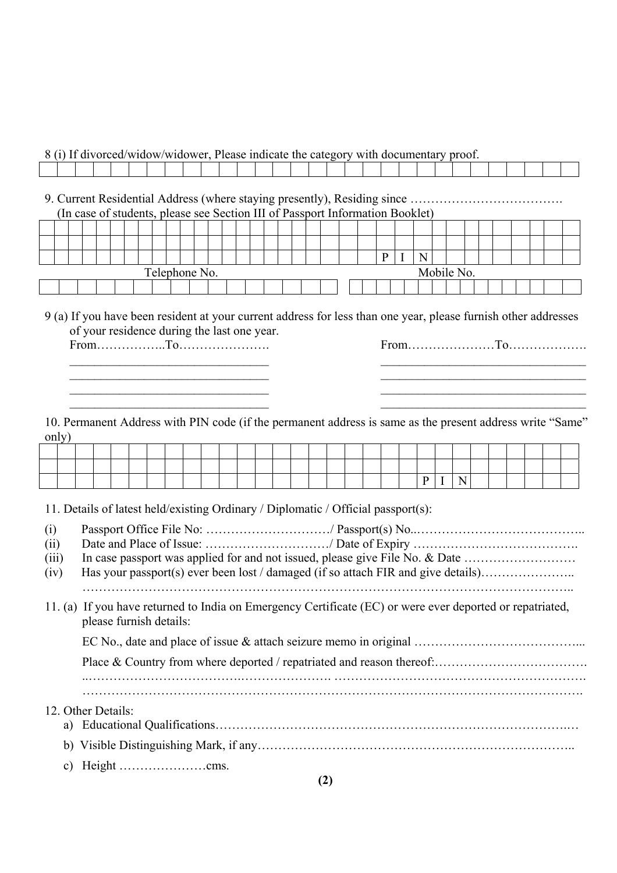|  |  |  |  |  |  |  | 8 (i) If divorced/widow/widower, Please indicate the category with documentary proof. |  |  |  |  |  |  |  |
|--|--|--|--|--|--|--|---------------------------------------------------------------------------------------|--|--|--|--|--|--|--|
|  |  |  |  |  |  |  |                                                                                       |  |  |  |  |  |  |  |

9. Current Residential Address (where staying presently), Residing since ………………………………. (In case of students, please see Section III of Passport Information Booklet)

|               |  |  |  |  |  |  |  |  |  |  |  |  |  |            |  | $\mu$ , and $\sigma$ is the choice of $\sigma$ is the control interference of $\sigma$ is the control $\sigma$ |  |  |  |  |  |  |  |
|---------------|--|--|--|--|--|--|--|--|--|--|--|--|--|------------|--|----------------------------------------------------------------------------------------------------------------|--|--|--|--|--|--|--|
|               |  |  |  |  |  |  |  |  |  |  |  |  |  |            |  |                                                                                                                |  |  |  |  |  |  |  |
|               |  |  |  |  |  |  |  |  |  |  |  |  |  |            |  |                                                                                                                |  |  |  |  |  |  |  |
|               |  |  |  |  |  |  |  |  |  |  |  |  |  |            |  |                                                                                                                |  |  |  |  |  |  |  |
| Telephone No. |  |  |  |  |  |  |  |  |  |  |  |  |  | Mobile No. |  |                                                                                                                |  |  |  |  |  |  |  |
|               |  |  |  |  |  |  |  |  |  |  |  |  |  |            |  |                                                                                                                |  |  |  |  |  |  |  |

9 (a) If you have been resident at your current address for less than one year, please furnish other addresses of your residence during the last one year.

 $\mathcal{L}_\text{max} = \mathcal{L}_\text{max} = \mathcal{L}_\text{max} = \mathcal{L}_\text{max} = \mathcal{L}_\text{max} = \mathcal{L}_\text{max} = \mathcal{L}_\text{max} = \mathcal{L}_\text{max} = \mathcal{L}_\text{max} = \mathcal{L}_\text{max} = \mathcal{L}_\text{max} = \mathcal{L}_\text{max} = \mathcal{L}_\text{max} = \mathcal{L}_\text{max} = \mathcal{L}_\text{max} = \mathcal{L}_\text{max} = \mathcal{L}_\text{max} = \mathcal{L}_\text{max} = \mathcal{$  $\mathcal{L}_\text{max}$  , and the contribution of the contribution of the contribution of the contribution of the contribution of the contribution of the contribution of the contribution of the contribution of the contribution of t

 $\mathcal{L}_\text{max} = \mathcal{L}_\text{max} = \mathcal{L}_\text{max} = \mathcal{L}_\text{max} = \mathcal{L}_\text{max} = \mathcal{L}_\text{max} = \mathcal{L}_\text{max} = \mathcal{L}_\text{max} = \mathcal{L}_\text{max} = \mathcal{L}_\text{max} = \mathcal{L}_\text{max} = \mathcal{L}_\text{max} = \mathcal{L}_\text{max} = \mathcal{L}_\text{max} = \mathcal{L}_\text{max} = \mathcal{L}_\text{max} = \mathcal{L}_\text{max} = \mathcal{L}_\text{max} = \mathcal{$ 

From……………..To…………………. From…………………To……………….

10. Permanent Address with PIN code (if the permanent address is same as the present address write "Same" only)

 $\mathcal{L}_\text{max}$  , and the contribution of the contribution of the contribution of the contribution of the contribution of the contribution of the contribution of the contribution of the contribution of the contribution of t

|  |  |  |  |  |  |  |  |  |  | $\mathbf{D}$ | $\mathbf{I}$ | $\mathbf N$ |  |  |  |
|--|--|--|--|--|--|--|--|--|--|--------------|--------------|-------------|--|--|--|

11. Details of latest held/existing Ordinary / Diplomatic / Official passport(s):

|  | (iii) In case passport was applied for and not issued, please give File No. & Date |
|--|------------------------------------------------------------------------------------|

|  |  |  |  | (iv) Has your passport(s) ever been lost / damaged (if so attach FIR and give details) |
|--|--|--|--|----------------------------------------------------------------------------------------|
|--|--|--|--|----------------------------------------------------------------------------------------|

11. (a) If you have returned to India on Emergency Certificate (EC) or were ever deported or repatriated, please furnish details:

………………………………………………………………………………………………………..

………………………………………………………………………………………………………….

#### 12. Other Details:

| . |
|---|

c) Height …………………cms.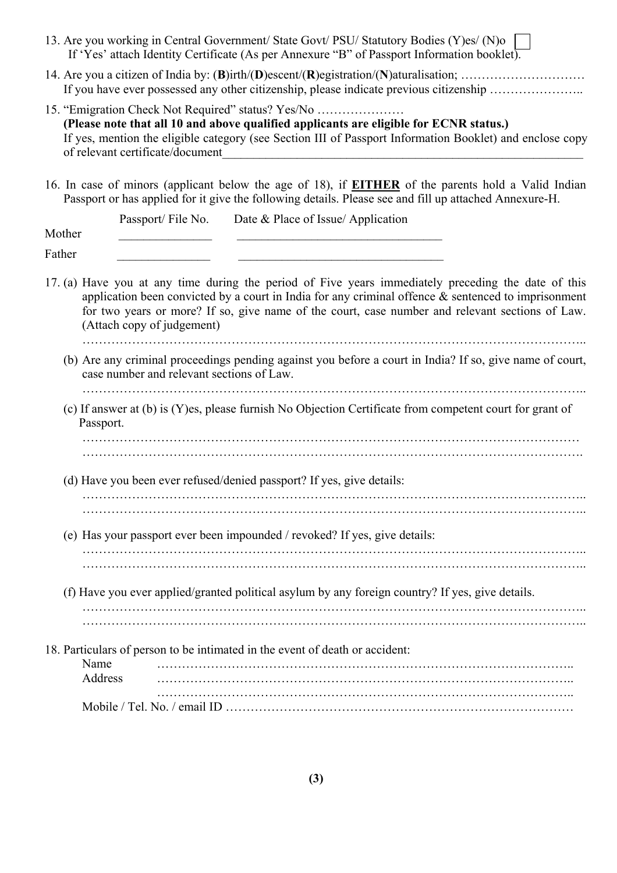| 13. Are you working in Central Government/ State Govt/ PSU/ Statutory Bodies (Y)es/ (N)o<br>If 'Yes' attach Identity Certificate (As per Annexure "B" of Passport Information booklet).                                                                                                                                                        |
|------------------------------------------------------------------------------------------------------------------------------------------------------------------------------------------------------------------------------------------------------------------------------------------------------------------------------------------------|
| If you have ever possessed any other citizenship, please indicate previous citizenship                                                                                                                                                                                                                                                         |
| 15. "Emigration Check Not Required" status? Yes/No<br>(Please note that all 10 and above qualified applicants are eligible for ECNR status.)<br>If yes, mention the eligible category (see Section III of Passport Information Booklet) and enclose copy<br>of relevant certificate/document                                                   |
| 16. In case of minors (applicant below the age of 18), if <b>EITHER</b> of the parents hold a Valid Indian<br>Passport or has applied for it give the following details. Please see and fill up attached Annexure-H.                                                                                                                           |
| Date & Place of Issue/ Application<br>Passport/File No.<br>Mother                                                                                                                                                                                                                                                                              |
| Father                                                                                                                                                                                                                                                                                                                                         |
| 17. (a) Have you at any time during the period of Five years immediately preceding the date of this<br>application been convicted by a court in India for any criminal offence $\&$ sentenced to imprisonment<br>for two years or more? If so, give name of the court, case number and relevant sections of Law.<br>(Attach copy of judgement) |
| (b) Are any criminal proceedings pending against you before a court in India? If so, give name of court,<br>case number and relevant sections of Law.                                                                                                                                                                                          |
| (c) If answer at (b) is (Y)es, please furnish No Objection Certificate from competent court for grant of<br>Passport.                                                                                                                                                                                                                          |
|                                                                                                                                                                                                                                                                                                                                                |
| (d) Have you been ever refused/denied passport? If yes, give details:                                                                                                                                                                                                                                                                          |
|                                                                                                                                                                                                                                                                                                                                                |
| (e) Has your passport ever been impounded / revoked? If yes, give details:                                                                                                                                                                                                                                                                     |
|                                                                                                                                                                                                                                                                                                                                                |
| (f) Have you ever applied/granted political asylum by any foreign country? If yes, give details.                                                                                                                                                                                                                                               |
|                                                                                                                                                                                                                                                                                                                                                |
| 18. Particulars of person to be intimated in the event of death or accident:<br>Name<br>Address                                                                                                                                                                                                                                                |
|                                                                                                                                                                                                                                                                                                                                                |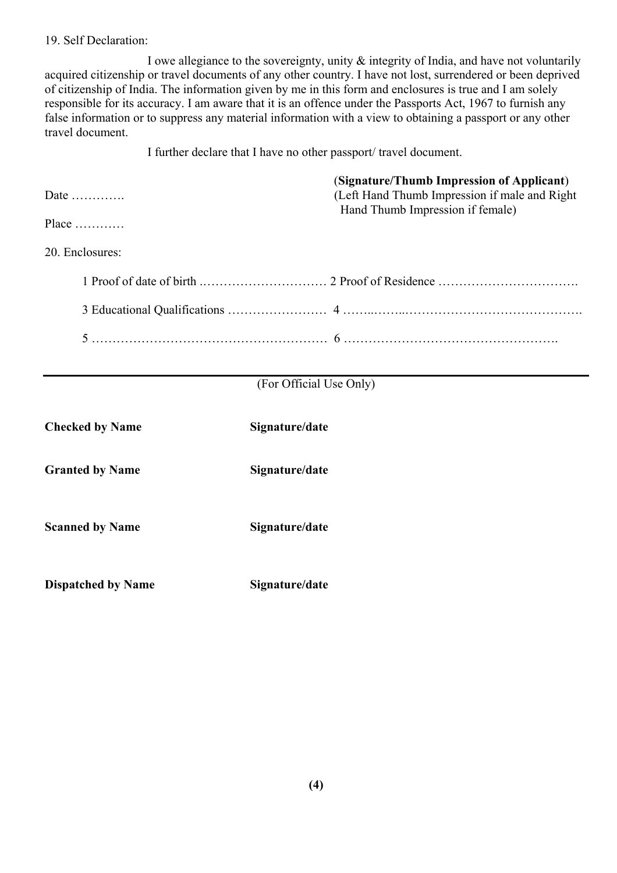#### 19. Self Declaration:

I owe allegiance to the sovereignty, unity & integrity of India, and have not voluntarily acquired citizenship or travel documents of any other country. I have not lost, surrendered or been deprived of citizenship of India. The information given by me in this form and enclosures is true and I am solely responsible for its accuracy. I am aware that it is an offence under the Passports Act, 1967 to furnish any false information or to suppress any material information with a view to obtaining a passport or any other travel document.

I further declare that I have no other passport/ travel document.

| Date $\dots\dots\dots\dots$ | (Signature/Thumb Impression of Applicant)<br>(Left Hand Thumb Impression if male and Right)<br>Hand Thumb Impression if female) |
|-----------------------------|---------------------------------------------------------------------------------------------------------------------------------|
|                             |                                                                                                                                 |
| 20. Enclosures:             |                                                                                                                                 |
|                             |                                                                                                                                 |
|                             |                                                                                                                                 |
|                             |                                                                                                                                 |

### (For Official Use Only)

| <b>Checked by Name</b>    | Signature/date |
|---------------------------|----------------|
| <b>Granted by Name</b>    | Signature/date |
| <b>Scanned by Name</b>    | Signature/date |
| <b>Dispatched by Name</b> | Signature/date |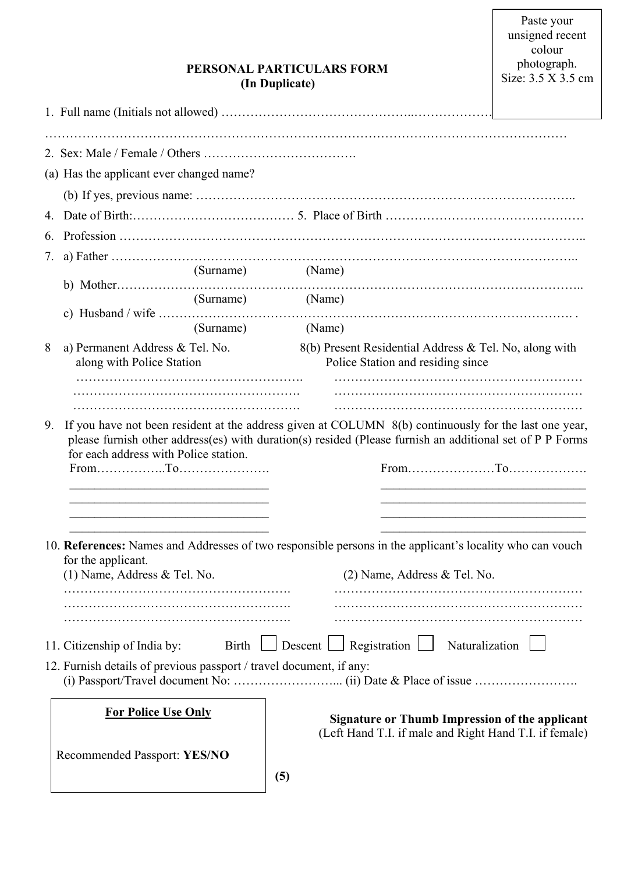| PERSONAL PARTICULARS FORM |
|---------------------------|
| (In Duplicate)            |

|    | (a) Has the applicant ever changed name?                                                            |                                                                                                                                                                                                                                                                    |  |
|----|-----------------------------------------------------------------------------------------------------|--------------------------------------------------------------------------------------------------------------------------------------------------------------------------------------------------------------------------------------------------------------------|--|
|    |                                                                                                     |                                                                                                                                                                                                                                                                    |  |
|    |                                                                                                     |                                                                                                                                                                                                                                                                    |  |
| 6. |                                                                                                     |                                                                                                                                                                                                                                                                    |  |
| 7. |                                                                                                     |                                                                                                                                                                                                                                                                    |  |
|    | (Surname)                                                                                           | (Name)                                                                                                                                                                                                                                                             |  |
|    |                                                                                                     | (Surname) (Name)                                                                                                                                                                                                                                                   |  |
|    |                                                                                                     | c) Husband / wife $\ldots$ $\ldots$ $\ldots$ $\ldots$ $\ldots$ $\ldots$                                                                                                                                                                                            |  |
|    |                                                                                                     | (Surname) (Name)                                                                                                                                                                                                                                                   |  |
| 8  | a) Permanent Address & Tel. No.<br>along with Police Station                                        | 8(b) Present Residential Address & Tel. No, along with<br>Police Station and residing since                                                                                                                                                                        |  |
|    |                                                                                                     |                                                                                                                                                                                                                                                                    |  |
|    |                                                                                                     |                                                                                                                                                                                                                                                                    |  |
| 9. | for each address with Police station.<br>$From \dots 10.$ To $10.$                                  | If you have not been resident at the address given at COLUMN 8(b) continuously for the last one year,<br>please furnish other address(es) with duration(s) resided (Please furnish an additional set of P P Forms                                                  |  |
|    | for the applicant.<br>(1) Name, Address & Tel. No.                                                  | <u> 1989 - Johann John Stein, market fan it ferskearre fan it ferskearre fan it ferskearre fan it ferskearre fan i</u><br>10. References: Names and Addresses of two responsible persons in the applicant's locality who can vouch<br>(2) Name, Address & Tel. No. |  |
|    | 11. Citizenship of India by:<br>12. Furnish details of previous passport / travel document, if any: | Birth $\Box$ Descent $\Box$ Registration $\Box$<br>Naturalization                                                                                                                                                                                                  |  |
|    | <b>For Police Use Only</b>                                                                          | <b>Signature or Thumb Impression of the applicant</b><br>(Left Hand T.I. if male and Right Hand T.I. if female)                                                                                                                                                    |  |
|    | Recommended Passport: YES/NO                                                                        |                                                                                                                                                                                                                                                                    |  |
|    |                                                                                                     | (5)                                                                                                                                                                                                                                                                |  |